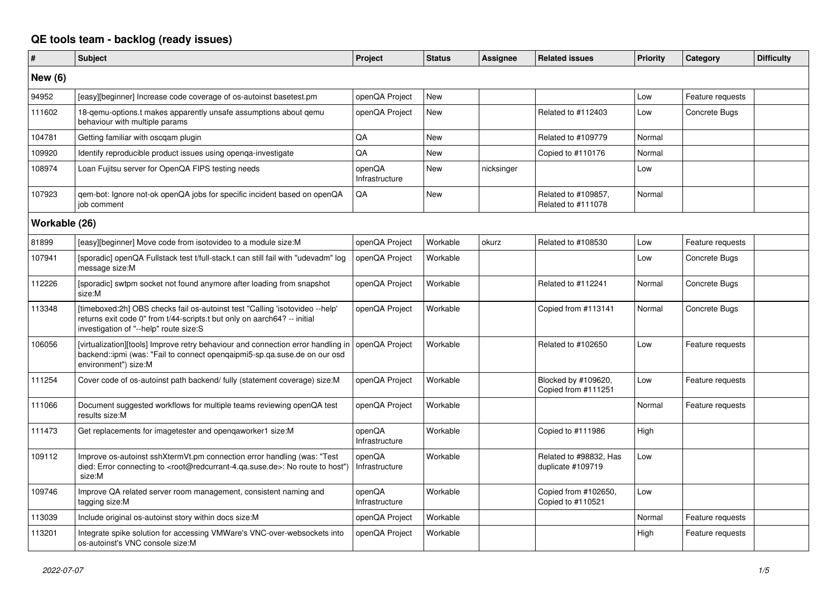## **QE tools team - backlog (ready issues)**

| $\vert$ #      | <b>Subject</b>                                                                                                                                                                                     | Project                  | <b>Status</b> | Assignee   | <b>Related issues</b>                       | <b>Priority</b> | Category         | <b>Difficulty</b> |
|----------------|----------------------------------------------------------------------------------------------------------------------------------------------------------------------------------------------------|--------------------------|---------------|------------|---------------------------------------------|-----------------|------------------|-------------------|
| <b>New (6)</b> |                                                                                                                                                                                                    |                          |               |            |                                             |                 |                  |                   |
| 94952          | [easy][beginner] Increase code coverage of os-autoinst basetest.pm                                                                                                                                 | openQA Project           | New           |            |                                             | Low             | Feature requests |                   |
| 111602         | 18-gemu-options.t makes apparently unsafe assumptions about gemu<br>behaviour with multiple params                                                                                                 | openQA Project           | New           |            | Related to #112403                          | Low             | Concrete Bugs    |                   |
| 104781         | Getting familiar with oscgam plugin                                                                                                                                                                | QA                       | New           |            | Related to #109779                          | Normal          |                  |                   |
| 109920         | Identify reproducible product issues using openga-investigate                                                                                                                                      | QA                       | <b>New</b>    |            | Copied to #110176                           | Normal          |                  |                   |
| 108974         | Loan Fujitsu server for OpenQA FIPS testing needs                                                                                                                                                  | openQA<br>Infrastructure | <b>New</b>    | nicksinger |                                             | Low             |                  |                   |
| 107923         | gem-bot: Ignore not-ok openQA jobs for specific incident based on openQA<br>iob comment                                                                                                            | QA                       | New           |            | Related to #109857,<br>Related to #111078   | Normal          |                  |                   |
| Workable (26)  |                                                                                                                                                                                                    |                          |               |            |                                             |                 |                  |                   |
| 81899          | [easy][beginner] Move code from isotovideo to a module size:M                                                                                                                                      | openQA Project           | Workable      | okurz      | Related to #108530                          | Low             | Feature requests |                   |
| 107941         | [sporadic] openQA Fullstack test t/full-stack.t can still fail with "udevadm" log<br>message size:M                                                                                                | openQA Project           | Workable      |            |                                             | Low             | Concrete Bugs    |                   |
| 112226         | [sporadic] swtpm socket not found anymore after loading from snapshot<br>size:M                                                                                                                    | openQA Project           | Workable      |            | Related to #112241                          | Normal          | Concrete Bugs    |                   |
| 113348         | [timeboxed:2h] OBS checks fail os-autoinst test "Calling 'isotovideo --help'<br>returns exit code 0" from t/44-scripts.t but only on aarch64? -- initial<br>investigation of "--help" route size:S | openQA Project           | Workable      |            | Copied from #113141                         | Normal          | Concrete Bugs    |                   |
| 106056         | [virtualization][tools] Improve retry behaviour and connection error handling in<br>backend::ipmi (was: "Fail to connect opengaipmi5-sp.ga.suse.de on our osd<br>environment") size:M              | openQA Project           | Workable      |            | Related to #102650                          | Low             | Feature requests |                   |
| 111254         | Cover code of os-autoinst path backend/ fully (statement coverage) size:M                                                                                                                          | openQA Project           | Workable      |            | Blocked by #109620,<br>Copied from #111251  | Low             | Feature requests |                   |
| 111066         | Document suggested workflows for multiple teams reviewing openQA test<br>results size:M                                                                                                            | openQA Project           | Workable      |            |                                             | Normal          | Feature requests |                   |
| 111473         | Get replacements for imagetester and openqaworker1 size:M                                                                                                                                          | openQA<br>Infrastructure | Workable      |            | Copied to #111986                           | High            |                  |                   |
| 109112         | Improve os-autoinst sshXtermVt.pm connection error handling (was: "Test<br>died: Error connecting to <root@redcurrant-4.qa.suse.de>: No route to host")<br/>size:M</root@redcurrant-4.qa.suse.de>  | openQA<br>Infrastructure | Workable      |            | Related to #98832, Has<br>duplicate #109719 | Low             |                  |                   |
| 109746         | Improve QA related server room management, consistent naming and<br>tagging size:M                                                                                                                 | openQA<br>Infrastructure | Workable      |            | Copied from #102650,<br>Copied to #110521   | Low             |                  |                   |
| 113039         | Include original os-autoinst story within docs size:M                                                                                                                                              | openQA Project           | Workable      |            |                                             | Normal          | Feature requests |                   |
| 113201         | Integrate spike solution for accessing VMWare's VNC-over-websockets into<br>os-autoinst's VNC console size:M                                                                                       | openQA Project           | Workable      |            |                                             | High            | Feature requests |                   |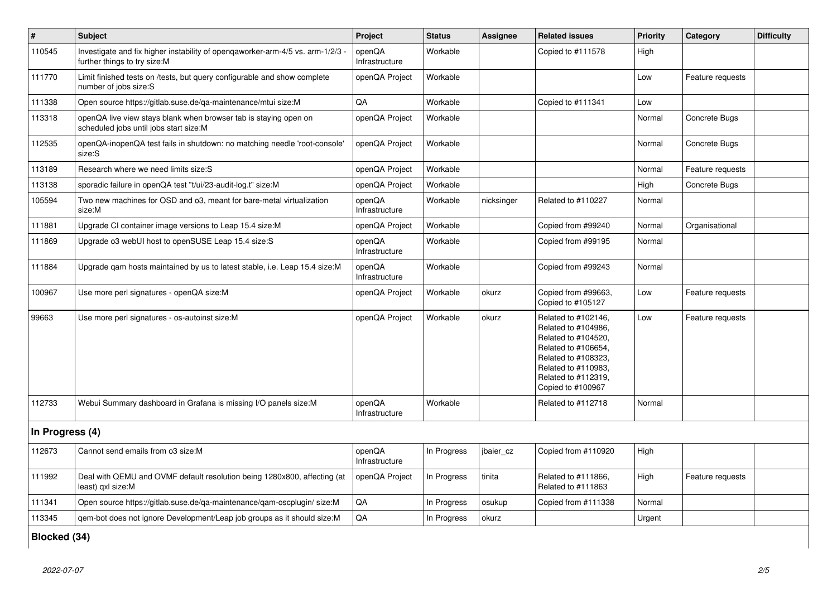| $\sharp$        | <b>Subject</b>                                                                                               | Project                  | <b>Status</b> | <b>Assignee</b> | <b>Related issues</b>                                                                                                                                                              | <b>Priority</b> | Category         | <b>Difficulty</b> |  |
|-----------------|--------------------------------------------------------------------------------------------------------------|--------------------------|---------------|-----------------|------------------------------------------------------------------------------------------------------------------------------------------------------------------------------------|-----------------|------------------|-------------------|--|
| 110545          | Investigate and fix higher instability of opengaworker-arm-4/5 vs. arm-1/2/3<br>further things to try size:M | openQA<br>Infrastructure | Workable      |                 | Copied to #111578                                                                                                                                                                  | High            |                  |                   |  |
| 111770          | Limit finished tests on /tests, but query configurable and show complete<br>number of jobs size:S            | openQA Project           | Workable      |                 |                                                                                                                                                                                    | Low             | Feature requests |                   |  |
| 111338          | Open source https://gitlab.suse.de/ga-maintenance/mtui size:M                                                | QA                       | Workable      |                 | Copied to #111341                                                                                                                                                                  | Low             |                  |                   |  |
| 113318          | openQA live view stays blank when browser tab is staying open on<br>scheduled jobs until jobs start size:M   | openQA Project           | Workable      |                 |                                                                                                                                                                                    | Normal          | Concrete Bugs    |                   |  |
| 112535          | openQA-inopenQA test fails in shutdown: no matching needle 'root-console'<br>size:S                          | openQA Project           | Workable      |                 |                                                                                                                                                                                    | Normal          | Concrete Bugs    |                   |  |
| 113189          | Research where we need limits size:S                                                                         | openQA Project           | Workable      |                 |                                                                                                                                                                                    | Normal          | Feature requests |                   |  |
| 113138          | sporadic failure in openQA test "t/ui/23-audit-log.t" size:M                                                 | openQA Project           | Workable      |                 |                                                                                                                                                                                    | High            | Concrete Bugs    |                   |  |
| 105594          | Two new machines for OSD and o3, meant for bare-metal virtualization<br>size:M                               | openQA<br>Infrastructure | Workable      | nicksinger      | Related to #110227                                                                                                                                                                 | Normal          |                  |                   |  |
| 111881          | Upgrade CI container image versions to Leap 15.4 size:M                                                      | openQA Project           | Workable      |                 | Copied from #99240                                                                                                                                                                 | Normal          | Organisational   |                   |  |
| 111869          | Upgrade o3 webUI host to openSUSE Leap 15.4 size:S                                                           | openQA<br>Infrastructure | Workable      |                 | Copied from #99195                                                                                                                                                                 | Normal          |                  |                   |  |
| 111884          | Upgrade gam hosts maintained by us to latest stable, i.e. Leap 15.4 size: M                                  | openQA<br>Infrastructure | Workable      |                 | Copied from #99243                                                                                                                                                                 | Normal          |                  |                   |  |
| 100967          | Use more perl signatures - openQA size:M                                                                     | openQA Project           | Workable      | okurz           | Copied from #99663,<br>Copied to #105127                                                                                                                                           | Low             | Feature requests |                   |  |
| 99663           | Use more perl signatures - os-autoinst size:M                                                                | openQA Project           | Workable      | okurz           | Related to #102146,<br>Related to #104986,<br>Related to #104520,<br>Related to #106654,<br>Related to #108323,<br>Related to #110983,<br>Related to #112319,<br>Copied to #100967 | Low             | Feature requests |                   |  |
| 112733          | Webui Summary dashboard in Grafana is missing I/O panels size:M                                              | openQA<br>Infrastructure | Workable      |                 | Related to #112718                                                                                                                                                                 | Normal          |                  |                   |  |
| In Progress (4) |                                                                                                              |                          |               |                 |                                                                                                                                                                                    |                 |                  |                   |  |
| 112673          | Cannot send emails from o3 size:M                                                                            | openQA<br>Infrastructure | In Progress   | jbaier cz       | Copied from #110920                                                                                                                                                                | High            |                  |                   |  |
| 111992          | Deal with QEMU and OVMF default resolution being 1280x800, affecting (at<br>least) gxl size:M                | openQA Project           | In Progress   | tinita          | Related to #111866,<br>Related to #111863                                                                                                                                          | High            | Feature requests |                   |  |
| 111341          | Open source https://gitlab.suse.de/ga-maintenance/gam-oscplugin/size:M                                       | QA                       | In Progress   | osukup          | Copied from #111338                                                                                                                                                                | Normal          |                  |                   |  |
| 113345          | qem-bot does not ignore Development/Leap job groups as it should size:M                                      | QA                       | In Progress   | okurz           |                                                                                                                                                                                    | Urgent          |                  |                   |  |
|                 | Blocked (34)                                                                                                 |                          |               |                 |                                                                                                                                                                                    |                 |                  |                   |  |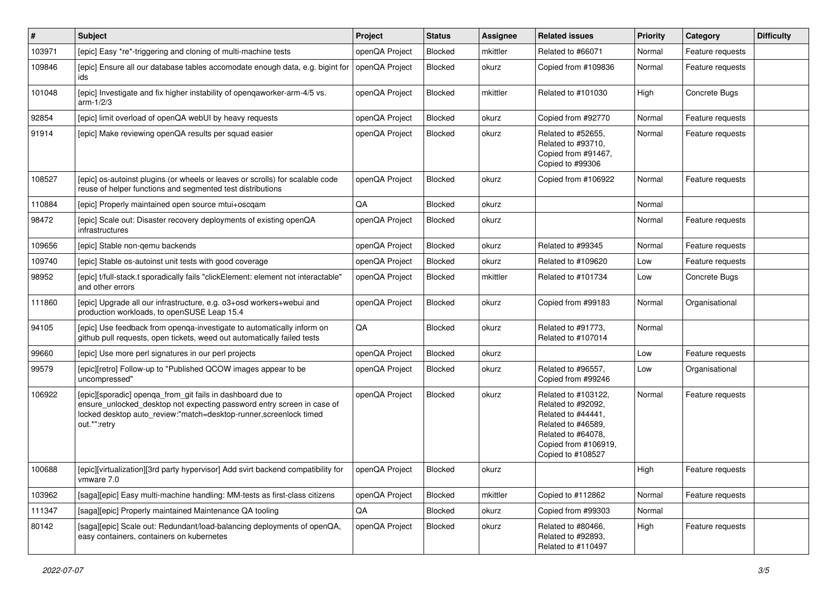| $\vert$ # | Subject                                                                                                                                                                                                                   | Project        | <b>Status</b>  | <b>Assignee</b> | <b>Related issues</b>                                                                                                                                    | Priority | Category         | <b>Difficulty</b> |
|-----------|---------------------------------------------------------------------------------------------------------------------------------------------------------------------------------------------------------------------------|----------------|----------------|-----------------|----------------------------------------------------------------------------------------------------------------------------------------------------------|----------|------------------|-------------------|
| 103971    | [epic] Easy *re*-triggering and cloning of multi-machine tests                                                                                                                                                            | openQA Project | Blocked        | mkittler        | Related to #66071                                                                                                                                        | Normal   | Feature requests |                   |
| 109846    | [epic] Ensure all our database tables accomodate enough data, e.g. bigint for<br>ids                                                                                                                                      | openQA Project | Blocked        | okurz           | Copied from #109836                                                                                                                                      | Normal   | Feature requests |                   |
| 101048    | [epic] Investigate and fix higher instability of openqaworker-arm-4/5 vs.<br>arm- $1/2/3$                                                                                                                                 | openQA Project | <b>Blocked</b> | mkittler        | Related to #101030                                                                                                                                       | High     | Concrete Bugs    |                   |
| 92854     | [epic] limit overload of openQA webUI by heavy requests                                                                                                                                                                   | openQA Project | Blocked        | okurz           | Copied from #92770                                                                                                                                       | Normal   | Feature requests |                   |
| 91914     | [epic] Make reviewing openQA results per squad easier                                                                                                                                                                     | openQA Project | Blocked        | okurz           | Related to #52655,<br>Related to #93710.<br>Copied from #91467.<br>Copied to #99306                                                                      | Normal   | Feature requests |                   |
| 108527    | [epic] os-autoinst plugins (or wheels or leaves or scrolls) for scalable code<br>reuse of helper functions and segmented test distributions                                                                               | openQA Project | Blocked        | okurz           | Copied from #106922                                                                                                                                      | Normal   | Feature requests |                   |
| 110884    | [epic] Properly maintained open source mtui+oscqam                                                                                                                                                                        | QA             | Blocked        | okurz           |                                                                                                                                                          | Normal   |                  |                   |
| 98472     | [epic] Scale out: Disaster recovery deployments of existing openQA<br>infrastructures                                                                                                                                     | openQA Project | <b>Blocked</b> | okurz           |                                                                                                                                                          | Normal   | Feature requests |                   |
| 109656    | [epic] Stable non-gemu backends                                                                                                                                                                                           | openQA Project | Blocked        | okurz           | Related to #99345                                                                                                                                        | Normal   | Feature requests |                   |
| 109740    | [epic] Stable os-autoinst unit tests with good coverage                                                                                                                                                                   | openQA Project | <b>Blocked</b> | okurz           | Related to #109620                                                                                                                                       | Low      | Feature requests |                   |
| 98952     | [epic] t/full-stack.t sporadically fails "clickElement: element not interactable"<br>and other errors                                                                                                                     | openQA Project | Blocked        | mkittler        | Related to #101734                                                                                                                                       | Low      | Concrete Bugs    |                   |
| 111860    | [epic] Upgrade all our infrastructure, e.g. o3+osd workers+webui and<br>production workloads, to openSUSE Leap 15.4                                                                                                       | openQA Project | Blocked        | okurz           | Copied from #99183                                                                                                                                       | Normal   | Organisational   |                   |
| 94105     | [epic] Use feedback from openga-investigate to automatically inform on<br>github pull requests, open tickets, weed out automatically failed tests                                                                         | QA             | Blocked        | okurz           | Related to #91773,<br>Related to #107014                                                                                                                 | Normal   |                  |                   |
| 99660     | [epic] Use more perl signatures in our perl projects                                                                                                                                                                      | openQA Project | Blocked        | okurz           |                                                                                                                                                          | Low      | Feature requests |                   |
| 99579     | [epic][retro] Follow-up to "Published QCOW images appear to be<br>uncompressed"                                                                                                                                           | openQA Project | Blocked        | okurz           | Related to #96557,<br>Copied from #99246                                                                                                                 | Low      | Organisational   |                   |
| 106922    | [epic][sporadic] openqa_from_git fails in dashboard due to<br>ensure_unlocked_desktop not expecting password entry screen in case of<br>locked desktop auto_review:"match=desktop-runner,screenlock timed<br>out.*":retry | openQA Project | Blocked        | okurz           | Related to #103122,<br>Related to #92092,<br>Related to #44441,<br>Related to #46589,<br>Related to #64078,<br>Copied from #106919,<br>Copied to #108527 | Normal   | Feature requests |                   |
| 100688    | [epic][virtualization][3rd party hypervisor] Add svirt backend compatibility for<br>vmware 7.0                                                                                                                            | openQA Project | <b>Blocked</b> | okurz           |                                                                                                                                                          | High     | Feature requests |                   |
| 103962    | [saga][epic] Easy multi-machine handling: MM-tests as first-class citizens                                                                                                                                                | openQA Project | Blocked        | mkittler        | Copied to #112862                                                                                                                                        | Normal   | Feature requests |                   |
| 111347    | [saga][epic] Properly maintained Maintenance QA tooling                                                                                                                                                                   | QA             | Blocked        | okurz           | Copied from #99303                                                                                                                                       | Normal   |                  |                   |
| 80142     | [saga][epic] Scale out: Redundant/load-balancing deployments of openQA,<br>easy containers, containers on kubernetes                                                                                                      | openQA Project | <b>Blocked</b> | okurz           | Related to #80466,<br>Related to #92893,<br>Related to #110497                                                                                           | High     | Feature requests |                   |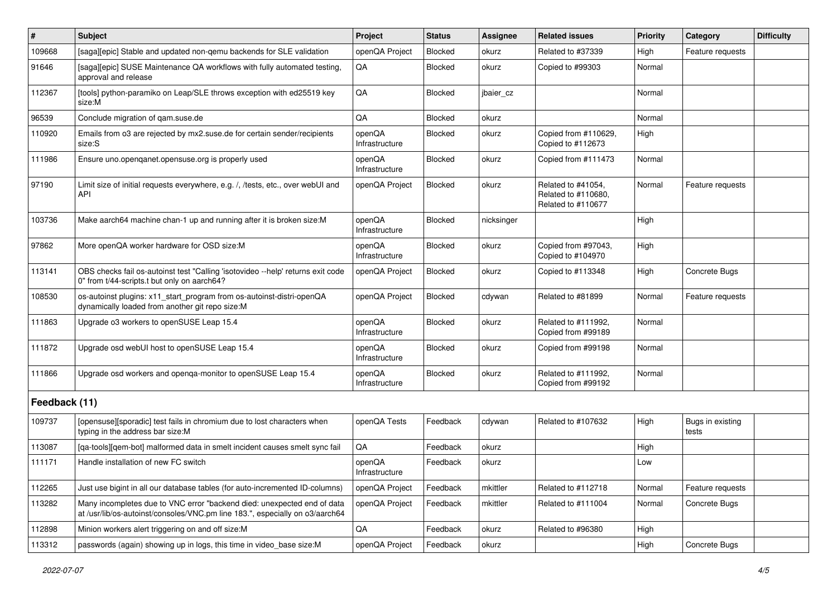| $\vert$ #     | <b>Subject</b>                                                                                                                                          | Project                  | <b>Status</b>  | Assignee   | <b>Related issues</b>                                           | Priority | Category                  | <b>Difficulty</b> |
|---------------|---------------------------------------------------------------------------------------------------------------------------------------------------------|--------------------------|----------------|------------|-----------------------------------------------------------------|----------|---------------------------|-------------------|
| 109668        | [saga][epic] Stable and updated non-gemu backends for SLE validation                                                                                    | openQA Project           | <b>Blocked</b> | okurz      | Related to #37339                                               | High     | Feature requests          |                   |
| 91646         | [saga][epic] SUSE Maintenance QA workflows with fully automated testing,<br>approval and release                                                        | QA                       | <b>Blocked</b> | okurz      | Copied to #99303                                                | Normal   |                           |                   |
| 112367        | [tools] python-paramiko on Leap/SLE throws exception with ed25519 key<br>size:M                                                                         | QA                       | <b>Blocked</b> | jbaier_cz  |                                                                 | Normal   |                           |                   |
| 96539         | Conclude migration of gam.suse.de                                                                                                                       | QA                       | <b>Blocked</b> | okurz      |                                                                 | Normal   |                           |                   |
| 110920        | Emails from o3 are rejected by mx2.suse.de for certain sender/recipients<br>size:S                                                                      | openQA<br>Infrastructure | <b>Blocked</b> | okurz      | Copied from #110629,<br>Copied to #112673                       | High     |                           |                   |
| 111986        | Ensure uno.openqanet.opensuse.org is properly used                                                                                                      | openQA<br>Infrastructure | Blocked        | okurz      | Copied from #111473                                             | Normal   |                           |                   |
| 97190         | Limit size of initial requests everywhere, e.g. /, /tests, etc., over webUI and<br><b>API</b>                                                           | openQA Project           | Blocked        | okurz      | Related to #41054,<br>Related to #110680,<br>Related to #110677 | Normal   | Feature requests          |                   |
| 103736        | Make aarch64 machine chan-1 up and running after it is broken size:M                                                                                    | openQA<br>Infrastructure | Blocked        | nicksinger |                                                                 | High     |                           |                   |
| 97862         | More openQA worker hardware for OSD size:M                                                                                                              | openQA<br>Infrastructure | <b>Blocked</b> | okurz      | Copied from #97043,<br>Copied to #104970                        | High     |                           |                   |
| 113141        | OBS checks fail os-autoinst test "Calling 'isotovideo --help' returns exit code<br>0" from t/44-scripts.t but only on aarch64?                          | openQA Project           | <b>Blocked</b> | okurz      | Copied to #113348                                               | High     | Concrete Bugs             |                   |
| 108530        | os-autoinst plugins: x11_start_program from os-autoinst-distri-openQA<br>dynamically loaded from another git repo size:M                                | openQA Project           | <b>Blocked</b> | cdywan     | Related to #81899                                               | Normal   | Feature requests          |                   |
| 111863        | Upgrade o3 workers to openSUSE Leap 15.4                                                                                                                | openQA<br>Infrastructure | <b>Blocked</b> | okurz      | Related to #111992,<br>Copied from #99189                       | Normal   |                           |                   |
| 111872        | Upgrade osd webUI host to openSUSE Leap 15.4                                                                                                            | openQA<br>Infrastructure | Blocked        | okurz      | Copied from #99198                                              | Normal   |                           |                   |
| 111866        | Upgrade osd workers and openga-monitor to openSUSE Leap 15.4                                                                                            | openQA<br>Infrastructure | Blocked        | okurz      | Related to #111992,<br>Copied from #99192                       | Normal   |                           |                   |
| Feedback (11) |                                                                                                                                                         |                          |                |            |                                                                 |          |                           |                   |
| 109737        | [opensuse][sporadic] test fails in chromium due to lost characters when<br>typing in the address bar size:M                                             | openQA Tests             | Feedback       | cdywan     | Related to #107632                                              | High     | Bugs in existing<br>tests |                   |
| 113087        | [ga-tools][gem-bot] malformed data in smelt incident causes smelt sync fail                                                                             | QA                       | Feedback       | okurz      |                                                                 | High     |                           |                   |
| 111171        | Handle installation of new FC switch                                                                                                                    | openQA<br>Infrastructure | Feedback       | okurz      |                                                                 | Low      |                           |                   |
| 112265        | Just use bigint in all our database tables (for auto-incremented ID-columns)                                                                            | openQA Project           | Feedback       | mkittler   | Related to #112718                                              | Normal   | Feature requests          |                   |
| 113282        | Many incompletes due to VNC error "backend died: unexpected end of data<br>at /usr/lib/os-autoinst/consoles/VNC.pm line 183.", especially on o3/aarch64 | openQA Project           | Feedback       | mkittler   | Related to #111004                                              | Normal   | Concrete Bugs             |                   |
| 112898        | Minion workers alert triggering on and off size:M                                                                                                       | QA                       | Feedback       | okurz      | Related to #96380                                               | High     |                           |                   |
| 113312        | passwords (again) showing up in logs, this time in video_base size:M                                                                                    | openQA Project           | Feedback       | okurz      |                                                                 | High     | Concrete Bugs             |                   |